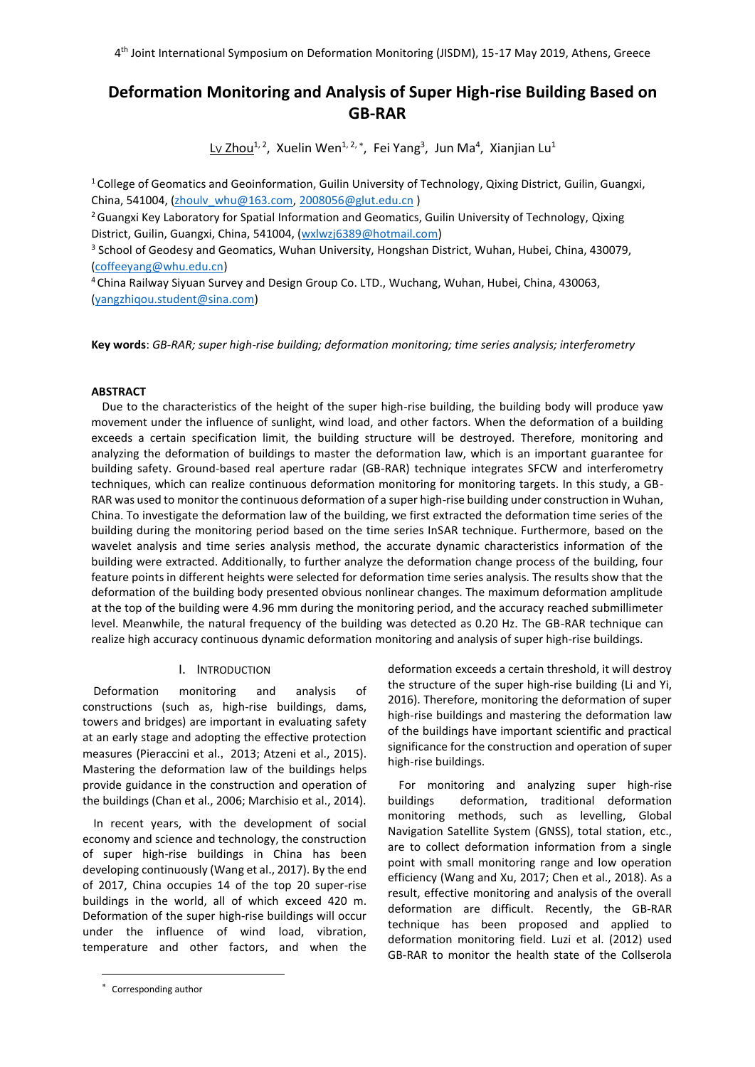# **Deformation Monitoring and Analysis of Super High-rise Building Based on GB-RAR**

Lv Zhou<sup>1, 2</sup>, Xuelin Wen<sup>1, 2,\*</sup>, Fei Yang<sup>3</sup>, Jun Ma<sup>4</sup>, Xianjian Lu<sup>1</sup>

<sup>1</sup> College of Geomatics and Geoinformation, Guilin University of Technology, Qixing District, Guilin, Guangxi, China, 541004, [\(zhoulv\\_whu@163.com,](mailto:zhoulv_whu@163.com) [2008056@glut.edu.cn](mailto:2008056@glut.edu.cn) )

<sup>2</sup> Guangxi Key Laboratory for Spatial Information and Geomatics, Guilin University of Technology, Qixing District, Guilin, Guangxi, China, 541004, (wxlwzj6389@hotmail.com)

3 School of Geodesy and Geomatics, Wuhan University, Hongshan District, Wuhan, Hubei, China, 430079, [\(coffeeyang@whu.edu.cn\)](mailto:coffeeyang@whu.edu.cn)

<sup>4</sup>China Railway Siyuan Survey and Design Group Co. LTD., Wuchang, Wuhan, Hubei, China, 430063, (yangzhiqou.student@sina.com)

**Key words**: *GB-RAR; super high-rise building; deformation monitoring; time series analysis; interferometry*

# **ABSTRACT**

Due to the characteristics of the height of the super high-rise building, the building body will produce yaw movement under the influence of sunlight, wind load, and other factors. When the deformation of a building exceeds a certain specification limit, the building structure will be destroyed. Therefore, monitoring and analyzing the deformation of buildings to master the deformation law, which is an important guarantee for building safety. Ground-based real aperture radar (GB-RAR) technique integrates SFCW and interferometry techniques, which can realize continuous deformation monitoring for monitoring targets. In this study, a GB-RAR was used to monitor the continuous deformation of a super high-rise building under construction in Wuhan, China. To investigate the deformation law of the building, we first extracted the deformation time series of the building during the monitoring period based on the time series InSAR technique. Furthermore, based on the wavelet analysis and time series analysis method, the accurate dynamic characteristics information of the building were extracted. Additionally, to further analyze the deformation change process of the building, four feature points in different heights were selected for deformation time series analysis. The results show that the deformation of the building body presented obvious nonlinear changes. The maximum deformation amplitude at the top of the building were 4.96 mm during the monitoring period, and the accuracy reached submillimeter level. Meanwhile, the natural frequency of the building was detected as 0.20 Hz. The GB-RAR technique can realize high accuracy continuous dynamic deformation monitoring and analysis of super high-rise buildings.

# I. INTRODUCTION

Deformation monitoring and analysis of constructions (such as, high-rise buildings, dams, towers and bridges) are important in evaluating safety at an early stage and adopting the effective protection measures (Pieraccini et al., 2013; Atzeni et al., 2015). Mastering the deformation law of the buildings helps provide guidance in the construction and operation of the buildings (Chan et al., 2006; Marchisio et al., 2014).

In recent years, with the development of social economy and science and technology, the construction of super high-rise buildings in China has been developing continuously (Wang et al., 2017). By the end of 2017, China occupies 14 of the top 20 super-rise buildings in the world, all of which exceed 420 m. Deformation of the super high-rise buildings will occur under the influence of wind load, vibration, temperature and other factors, and when the

l

deformation exceeds a certain threshold, it will destroy the structure of the super high-rise building (Li and Yi, 2016). Therefore, monitoring the deformation of super high-rise buildings and mastering the deformation law of the buildings have important scientific and practical significance for the construction and operation of super high-rise buildings.

For monitoring and analyzing super high-rise buildings deformation, traditional deformation monitoring methods, such as levelling, Global Navigation Satellite System (GNSS), total station, etc., are to collect deformation information from a single point with small monitoring range and low operation efficiency (Wang and Xu, 2017; Chen et al., 2018). As a result, effective monitoring and analysis of the overall deformation are difficult. Recently, the GB-RAR technique has been proposed and applied to deformation monitoring field. Luzi et al. (2012) used GB-RAR to monitor the health state of the Collserola

Corresponding author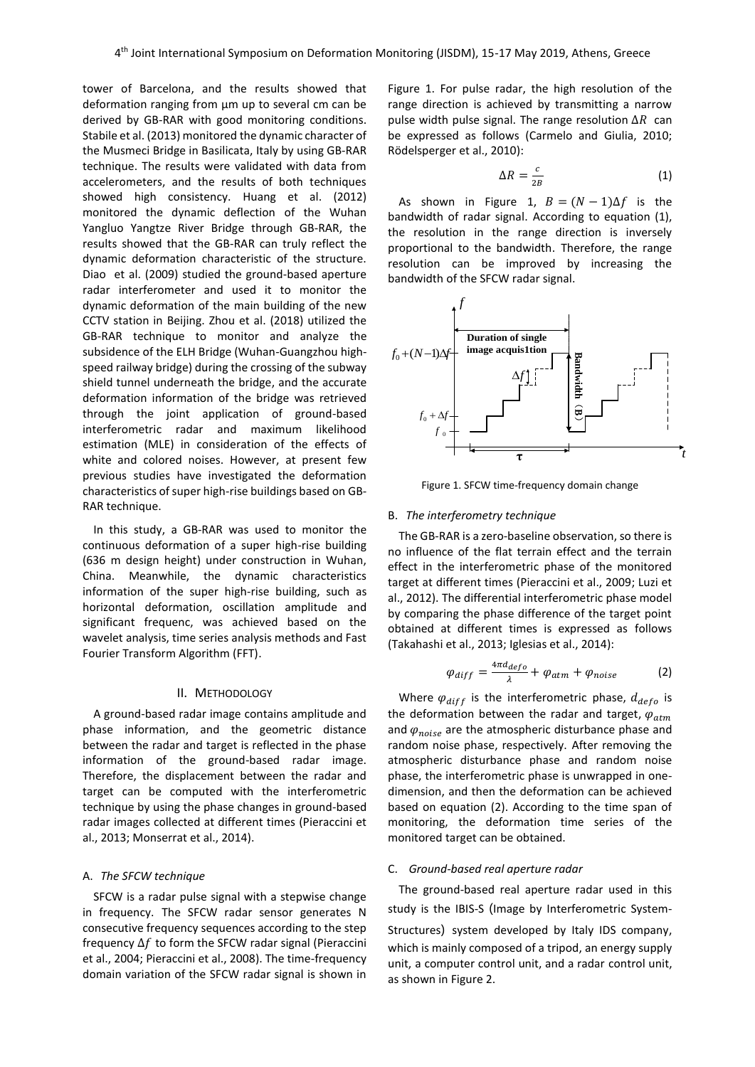tower of Barcelona, and the results showed that deformation ranging from μm up to several cm can be derived by GB-RAR with good monitoring conditions. Stabile et al. (2013) monitored the dynamic character of the Musmeci Bridge in Basilicata, Italy by using GB-RAR technique. The results were validated with data from accelerometers, and the results of both techniques showed high consistency. Huang et al. (2012) monitored the dynamic deflection of the Wuhan Yangluo Yangtze River Bridge through GB-RAR, the results showed that the GB-RAR can truly reflect the dynamic deformation characteristic of the structure. Diao et al. (2009) studied the ground-based aperture radar interferometer and used it to monitor the dynamic deformation of the main building of the new CCTV station in Beijing. Zhou et al. (2018) utilized the GB-RAR technique to monitor and analyze the subsidence of the ELH Bridge (Wuhan-Guangzhou highspeed railway bridge) during the crossing of the subway shield tunnel underneath the bridge, and the accurate deformation information of the bridge was retrieved through the joint application of ground-based interferometric radar and maximum likelihood estimation (MLE) in consideration of the effects of white and colored noises. However, at present few previous studies have investigated the deformation characteristics of super high-rise buildings based on GB-RAR technique.

In this study, a GB-RAR was used to monitor the continuous deformation of a super high-rise building (636 m design height) under construction in Wuhan, China. Meanwhile, the dynamic characteristics information of the super high-rise building, such as horizontal deformation, oscillation amplitude and significant frequenc, was achieved based on the wavelet analysis, time series analysis methods and Fast Fourier Transform Algorithm (FFT).

### II. METHODOLOGY

A ground-based radar image contains amplitude and phase information, and the geometric distance between the radar and target is reflected in the phase information of the ground-based radar image. Therefore, the displacement between the radar and target can be computed with the interferometric technique by using the phase changes in ground-based radar images collected at different times (Pieraccini et al., 2013; Monserrat et al., 2014).

### A. *The SFCW technique*

SFCW is a radar pulse signal with a stepwise change in frequency. The SFCW radar sensor generates N consecutive frequency sequences according to the step frequency  $\Delta f$  to form the SFCW radar signal (Pieraccini et al., 2004; Pieraccini et al., 2008). The time-frequency domain variation of the SFCW radar signal is shown in

Figure 1. For pulse radar, the high resolution of the range direction is achieved by transmitting a narrow pulse width pulse signal. The range resolution  $\Delta R$  can be expressed as follows (Carmelo and Giulia, 2010; Rödelsperger et al., 2010):

$$
\Delta R = \frac{c}{2B} \tag{1}
$$

As shown in Figure 1,  $B = (N-1)\Delta f$  is the bandwidth of radar signal. According to equation (1), the resolution in the range direction is inversely proportional to the bandwidth. Therefore, the range resolution can be improved by increasing the bandwidth of the SFCW radar signal.



Figure 1. SFCW time-frequency domain change

#### B. *The interferometry technique*

The GB-RAR is a zero-baseline observation, so there is no influence of the flat terrain effect and the terrain effect in the interferometric phase of the monitored target at different times (Pieraccini et al., 2009; Luzi et al., 2012). The differential interferometric phase model by comparing the phase difference of the target point obtained at different times is expressed as follows (Takahashi et al., 2013; Iglesias et al., 2014):

$$
\varphi_{diff} = \frac{4\pi d_{defo}}{\lambda} + \varphi_{atm} + \varphi_{noise}
$$
 (2)

Where  $\varphi_{diff}$  is the interferometric phase,  $d_{defo}$  is the deformation between the radar and target,  $\varphi_{atm}$ and  $\varphi_{noise}$  are the atmospheric disturbance phase and random noise phase, respectively. After removing the atmospheric disturbance phase and random noise phase, the interferometric phase is unwrapped in onedimension, and then the deformation can be achieved based on equation (2). According to the time span of monitoring, the deformation time series of the monitored target can be obtained.

## C. *Ground-based real aperture radar*

The ground-based real aperture radar used in this study is the IBIS-S (Image by Interferometric System-

Structures) system developed by Italy IDS company, which is mainly composed of a tripod, an energy supply unit, a computer control unit, and a radar control unit, as shown in Figure 2.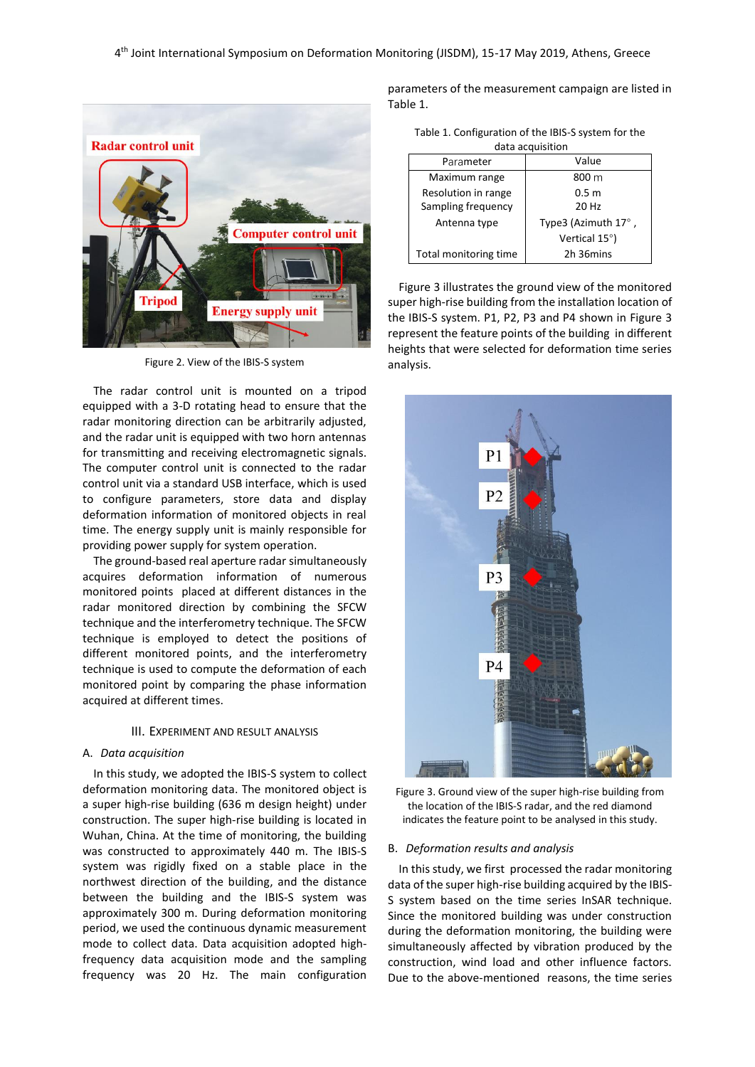

Figure 2. View of the IBIS-S system

The radar control unit is mounted on a tripod equipped with a 3-D rotating head to ensure that the radar monitoring direction can be arbitrarily adjusted, and the radar unit is equipped with two horn antennas for transmitting and receiving electromagnetic signals. The computer control unit is connected to the radar control unit via a standard USB interface, which is used to configure parameters, store data and display deformation information of monitored objects in real time. The energy supply unit is mainly responsible for providing power supply for system operation.

The ground-based real aperture radar simultaneously acquires deformation information of numerous monitored points placed at different distances in the radar monitored direction by combining the SFCW technique and the interferometry technique. The SFCW technique is employed to detect the positions of different monitored points, and the interferometry technique is used to compute the deformation of each monitored point by comparing the phase information acquired at different times.

#### III. EXPERIMENT AND RESULT ANALYSIS

#### A. *Data acquisition*

In this study, we adopted the IBIS-S system to collect deformation monitoring data. The monitored object is a super high-rise building (636 m design height) under construction. The super high-rise building is located in Wuhan, China. At the time of monitoring, the building was constructed to approximately 440 m. The IBIS-S system was rigidly fixed on a stable place in the northwest direction of the building, and the distance between the building and the IBIS-S system was approximately 300 m. During deformation monitoring period, we used the continuous dynamic measurement mode to collect data. Data acquisition adopted highfrequency data acquisition mode and the sampling frequency was 20 Hz. The main configuration

parameters of the measurement campaign are listed in Table 1.

| Table 1. Configuration of the IBIS-S system for the |
|-----------------------------------------------------|
| data acquisition                                    |

| uutu utuusitioni      |                     |  |
|-----------------------|---------------------|--|
| Parameter             | Value               |  |
| Maximum range         | 800 m               |  |
| Resolution in range   | 0.5 <sub>m</sub>    |  |
| Sampling frequency    | 20 Hz               |  |
| Antenna type          | Type3 (Azimuth 17°, |  |
|                       | Vertical 15°)       |  |
| Total monitoring time | 2h 36mins           |  |
|                       |                     |  |

Figure 3 illustrates the ground view of the monitored super high-rise building from the installation location of the IBIS-S system. P1, P2, P3 and P4 shown in Figure 3 represent the feature points of the building in different heights that were selected for deformation time series analysis.



Figure 3. Ground view of the super high-rise building from the location of the IBIS-S radar, and the red diamond indicates the feature point to be analysed in this study.

#### B. *Deformation results and analysis*

In this study, we first processed the radar monitoring data of the super high-rise building acquired by the IBIS-S system based on the time series InSAR technique. Since the monitored building was under construction during the deformation monitoring, the building were simultaneously affected by vibration produced by the construction, wind load and other influence factors. Due to the above-mentioned reasons, the time series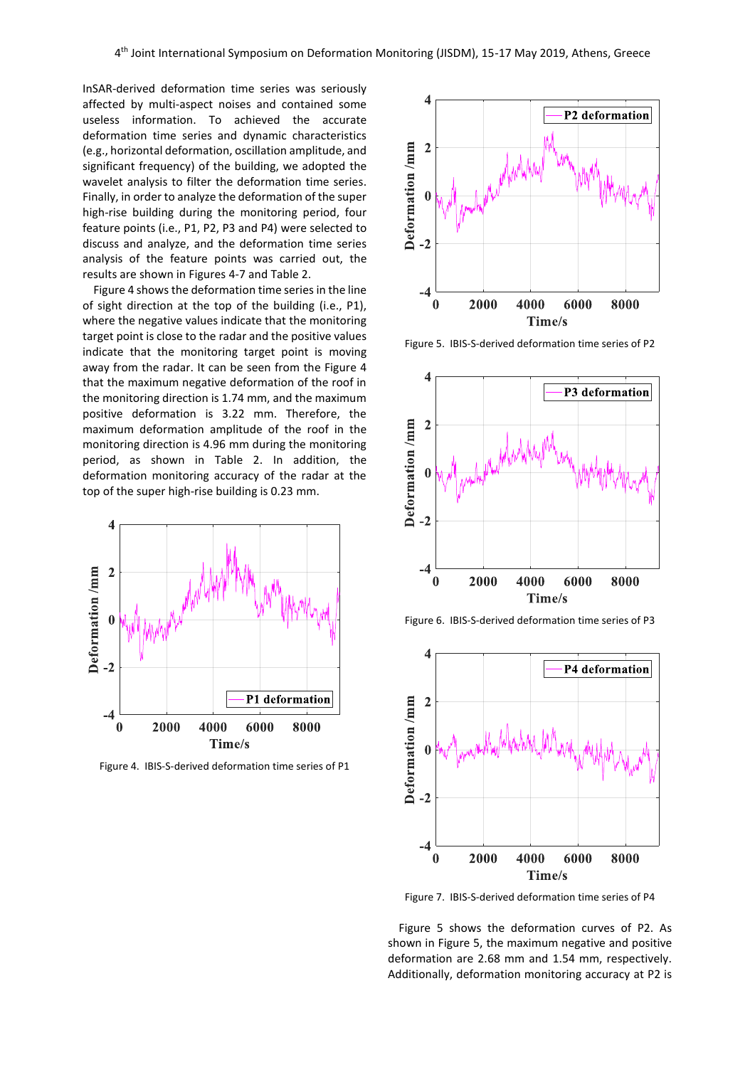InSAR-derived deformation time series was seriously affected by multi-aspect noises and contained some useless information. To achieved the accurate deformation time series and dynamic characteristics (e.g., horizontal deformation, oscillation amplitude, and significant frequency) of the building, we adopted the wavelet analysis to filter the deformation time series. Finally, in order to analyze the deformation of the super high-rise building during the monitoring period, four feature points (i.e., P1, P2, P3 and P4) were selected to discuss and analyze, and the deformation time series analysis of the feature points was carried out, the results are shown in Figures 4-7 and Table 2.

Figure 4 shows the deformation time series in the line of sight direction at the top of the building (i.e., P1), where the negative values indicate that the monitoring target point is close to the radar and the positive values indicate that the monitoring target point is moving away from the radar. It can be seen from the Figure 4 that the maximum negative deformation of the roof in the monitoring direction is 1.74 mm, and the maximum positive deformation is 3.22 mm. Therefore, the maximum deformation amplitude of the roof in the monitoring direction is 4.96 mm during the monitoring period, as shown in Table 2. In addition, the deformation monitoring accuracy of the radar at the top of the super high-rise building is 0.23 mm.



Figure 4. IBIS-S-derived deformation time series of P1



Figure 5. IBIS-S-derived deformation time series of P2







Figure 7. IBIS-S-derived deformation time series of P4

Figure 5 shows the deformation curves of P2. As shown in Figure 5, the maximum negative and positive deformation are 2.68 mm and 1.54 mm, respectively. Additionally, deformation monitoring accuracy at P2 is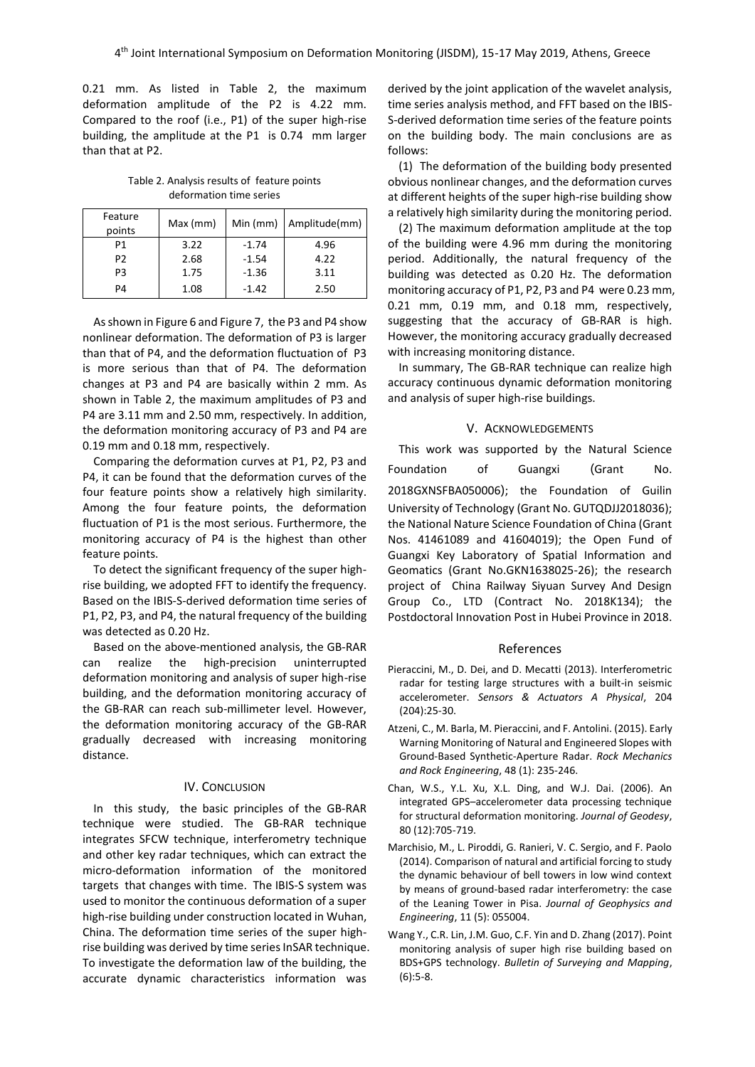0.21 mm. As listed in Table 2, the maximum deformation amplitude of the P2 is 4.22 mm. Compared to the roof (i.e., P1) of the super high-rise building, the amplitude at the P1 is 0.74 mm larger than that at P2.

Table 2. Analysis results of feature points deformation time series

| Feature<br>points | Max (mm) |         | Min (mm) $\vert$ Amplitude(mm) |
|-------------------|----------|---------|--------------------------------|
| P1                | 3.22     | $-1.74$ | 4.96                           |
| P <sub>2</sub>    | 2.68     | $-1.54$ | 4.22                           |
| P3                | 1.75     | $-1.36$ | 3.11                           |
| P4                | 1.08     | $-1.42$ | 2.50                           |

As shown in Figure 6 and Figure 7, the P3 and P4 show nonlinear deformation. The deformation of P3 is larger than that of P4, and the deformation fluctuation of P3 is more serious than that of P4. The deformation changes at P3 and P4 are basically within 2 mm. As shown in Table 2, the maximum amplitudes of P3 and P4 are 3.11 mm and 2.50 mm, respectively. In addition, the deformation monitoring accuracy of P3 and P4 are 0.19 mm and 0.18 mm, respectively.

Comparing the deformation curves at P1, P2, P3 and P4, it can be found that the deformation curves of the four feature points show a relatively high similarity. Among the four feature points, the deformation fluctuation of P1 is the most serious. Furthermore, the monitoring accuracy of P4 is the highest than other feature points.

To detect the significant frequency of the super highrise building, we adopted FFT to identify the frequency. Based on the IBIS-S-derived deformation time series of P1, P2, P3, and P4, the natural frequency of the building was detected as 0.20 Hz.

Based on the above-mentioned analysis, the GB-RAR can realize the high-precision uninterrupted deformation monitoring and analysis of super high-rise building, and the deformation monitoring accuracy of the GB-RAR can reach sub-millimeter level. However, the deformation monitoring accuracy of the GB-RAR gradually decreased with increasing monitoring distance.

# IV. CONCLUSION

In this study, the basic principles of the GB-RAR technique were studied. The GB-RAR technique integrates SFCW technique, interferometry technique and other key radar techniques, which can extract the micro-deformation information of the monitored targets that changes with time. The IBIS-S system was used to monitor the continuous deformation of a super high-rise building under construction located in Wuhan, China. The deformation time series of the super highrise building was derived by time series InSAR technique. To investigate the deformation law of the building, the accurate dynamic characteristics information was

derived by the joint application of the wavelet analysis, time series analysis method, and FFT based on the IBIS-S-derived deformation time series of the feature points on the building body. The main conclusions are as follows:

(1) The deformation of the building body presented obvious nonlinear changes, and the deformation curves at different heights of the super high-rise building show a relatively high similarity during the monitoring period.

(2) The maximum deformation amplitude at the top of the building were 4.96 mm during the monitoring period. Additionally, the natural frequency of the building was detected as 0.20 Hz. The deformation monitoring accuracy of P1, P2, P3 and P4 were 0.23 mm, 0.21 mm, 0.19 mm, and 0.18 mm, respectively, suggesting that the accuracy of GB-RAR is high. However, the monitoring accuracy gradually decreased with increasing monitoring distance.

In summary, The GB-RAR technique can realize high accuracy continuous dynamic deformation monitoring and analysis of super high-rise buildings.

#### V. ACKNOWLEDGEMENTS

This work was supported by the Natural Science Foundation of Guangxi (Grant No. 2018GXNSFBA050006); the Foundation of Guilin University of Technology (Grant No. GUTQDJJ2018036); the National Nature Science Foundation of China (Grant Nos. 41461089 and 41604019); the Open Fund of Guangxi Key Laboratory of Spatial Information and Geomatics (Grant No.GKN1638025-26); the research project of China Railway Siyuan Survey And Design Group Co., LTD (Contract No. 2018K134); the Postdoctoral Innovation Post in Hubei Province in 2018.

#### References

- Pieraccini, M., D. Dei, and D. Mecatti (2013). Interferometric radar for testing large structures with a built-in seismic accelerometer. *Sensors & Actuators A Physical*, 204 (204):25-30.
- Atzeni, C., M. Barla, M. Pieraccini, and F. Antolini. (2015). Early Warning Monitoring of Natural and Engineered Slopes with Ground-Based Synthetic-Aperture Radar. *Rock Mechanics and Rock Engineering*, 48 (1): 235-246.
- Chan, W.S., Y.L. Xu, X.L. Ding, and W.J. Dai. (2006). An integrated GPS–accelerometer data processing technique for structural deformation monitoring. *Journal of Geodesy*, 80 (12):705-719.
- Marchisio, M., L. Piroddi, G. Ranieri, V. C. Sergio, and F. Paolo (2014). Comparison of natural and artificial forcing to study the dynamic behaviour of bell towers in low wind context by means of ground-based radar interferometry: the case of the Leaning Tower in Pisa. *Journal of Geophysics and Engineering*, 11 (5): 055004.
- Wang Y., C.R. Lin, J.M. Guo, C.F. Yin and D. Zhang (2017). Point monitoring analysis of super high rise building based on BDS+GPS technology. *Bulletin of Surveying and Mapping*, (6):5-8.